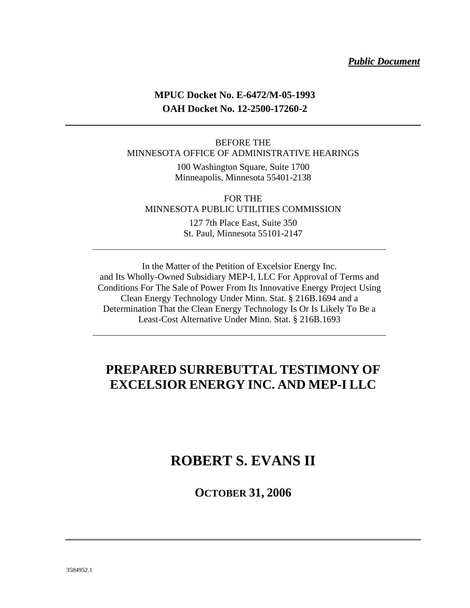#### *Public Document*

### **MPUC Docket No. E-6472/M-05-1993 OAH Docket No. 12-2500-17260-2**

#### BEFORE THE MINNESOTA OFFICE OF ADMINISTRATIVE HEARINGS

100 Washington Square, Suite 1700 Minneapolis, Minnesota 55401-2138

FOR THE MINNESOTA PUBLIC UTILITIES COMMISSION 127 7th Place East, Suite 350 St. Paul, Minnesota 55101-2147

In the Matter of the Petition of Excelsior Energy Inc. and Its Wholly-Owned Subsidiary MEP-I, LLC For Approval of Terms and Conditions For The Sale of Power From Its Innovative Energy Project Using Clean Energy Technology Under Minn. Stat. § 216B.1694 and a Determination That the Clean Energy Technology Is Or Is Likely To Be a Least-Cost Alternative Under Minn. Stat. § 216B.1693

## **PREPARED SURREBUTTAL TESTIMONY OF EXCELSIOR ENERGY INC. AND MEP-I LLC**

## **ROBERT S. EVANS II**

**OCTOBER 31, 2006**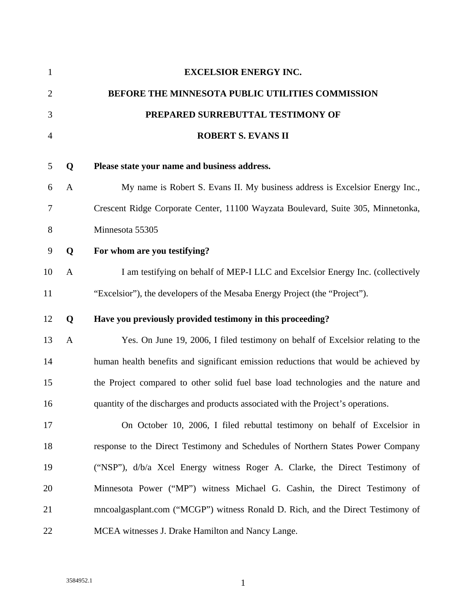| $\mathbf{1}$   |              | <b>EXCELSIOR ENERGY INC.</b>                                                        |
|----------------|--------------|-------------------------------------------------------------------------------------|
| $\overline{2}$ |              | BEFORE THE MINNESOTA PUBLIC UTILITIES COMMISSION                                    |
| 3              |              | PREPARED SURREBUTTAL TESTIMONY OF                                                   |
| $\overline{4}$ |              | <b>ROBERT S. EVANS II</b>                                                           |
| 5              | Q            | Please state your name and business address.                                        |
| 6              | $\mathbf{A}$ | My name is Robert S. Evans II. My business address is Excelsior Energy Inc.,        |
| 7              |              | Crescent Ridge Corporate Center, 11100 Wayzata Boulevard, Suite 305, Minnetonka,    |
| 8              |              | Minnesota 55305                                                                     |
| 9              | Q            | For whom are you testifying?                                                        |
| 10             | $\mathbf{A}$ | I am testifying on behalf of MEP-I LLC and Excelsior Energy Inc. (collectively      |
| 11             |              | "Excelsior"), the developers of the Mesaba Energy Project (the "Project").          |
| 12             | Q            | Have you previously provided testimony in this proceeding?                          |
| 13             | $\mathbf{A}$ | Yes. On June 19, 2006, I filed testimony on behalf of Excelsior relating to the     |
| 14             |              | human health benefits and significant emission reductions that would be achieved by |
| 15             |              | the Project compared to other solid fuel base load technologies and the nature and  |
| 16             |              | quantity of the discharges and products associated with the Project's operations.   |
| 17             |              | On October 10, 2006, I filed rebuttal testimony on behalf of Excelsior in           |
| 18             |              | response to the Direct Testimony and Schedules of Northern States Power Company     |
| 19             |              | ("NSP"), d/b/a Xcel Energy witness Roger A. Clarke, the Direct Testimony of         |
| 20             |              | Minnesota Power ("MP") witness Michael G. Cashin, the Direct Testimony of           |
| 21             |              | mncoalgasplant.com ("MCGP") witness Ronald D. Rich, and the Direct Testimony of     |
| 22             |              | MCEA witnesses J. Drake Hamilton and Nancy Lange.                                   |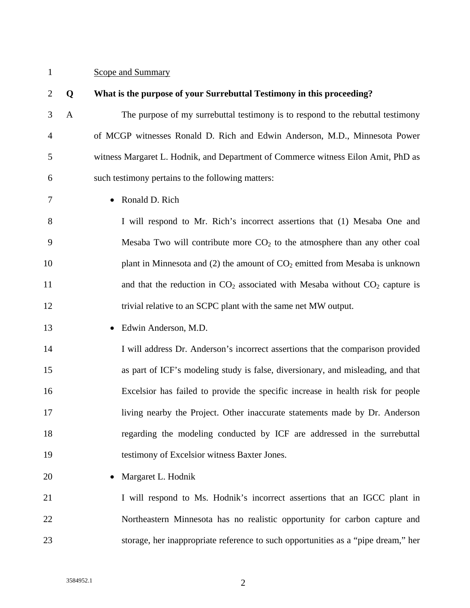### 1 Scope and Summary

| $\overline{2}$ | Q            | What is the purpose of your Surrebuttal Testimony in this proceeding?             |
|----------------|--------------|-----------------------------------------------------------------------------------|
| 3              | $\mathbf{A}$ | The purpose of my surrebuttal testimony is to respond to the rebuttal testimony   |
| $\overline{4}$ |              | of MCGP witnesses Ronald D. Rich and Edwin Anderson, M.D., Minnesota Power        |
| 5              |              | witness Margaret L. Hodnik, and Department of Commerce witness Eilon Amit, PhD as |
| 6              |              | such testimony pertains to the following matters:                                 |
| 7              |              | Ronald D. Rich                                                                    |
| 8              |              | I will respond to Mr. Rich's incorrect assertions that (1) Mesaba One and         |
| 9              |              | Mesaba Two will contribute more $CO2$ to the atmosphere than any other coal       |
| 10             |              | plant in Minnesota and (2) the amount of $CO2$ emitted from Mesaba is unknown     |
| 11             |              | and that the reduction in $CO_2$ associated with Mesaba without $CO_2$ capture is |
| 12             |              | trivial relative to an SCPC plant with the same net MW output.                    |
| 13             |              | Edwin Anderson, M.D.                                                              |
| 14             |              | I will address Dr. Anderson's incorrect assertions that the comparison provided   |
| 15             |              | as part of ICF's modeling study is false, diversionary, and misleading, and that  |
| 16             |              | Excelsior has failed to provide the specific increase in health risk for people   |
| 17             |              | living nearby the Project. Other inaccurate statements made by Dr. Anderson       |
| 18             |              | regarding the modeling conducted by ICF are addressed in the surrebuttal          |
| 19             |              | testimony of Excelsior witness Baxter Jones.                                      |
| 20             |              | Margaret L. Hodnik                                                                |
| 21             |              | I will respond to Ms. Hodnik's incorrect assertions that an IGCC plant in         |
| 22             |              | Northeastern Minnesota has no realistic opportunity for carbon capture and        |
| 23             |              | storage, her inappropriate reference to such opportunities as a "pipe dream," her |
|                |              |                                                                                   |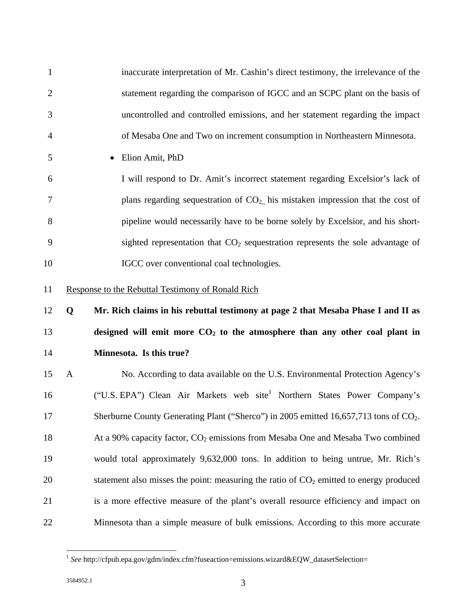1 inaccurate interpretation of Mr. Cashin's direct testimony, the irrelevance of the 2 statement regarding the comparison of IGCC and an SCPC plant on the basis of 3 uncontrolled and controlled emissions, and her statement regarding the impact 4 of Mesaba One and Two on increment consumption in Northeastern Minnesota. 5 • Elion Amit, PhD 6 I will respond to Dr. Amit's incorrect statement regarding Excelsior's lack of  $7$  plans regarding sequestration of  $CO<sub>2</sub>$ , his mistaken impression that the cost of 8 pipeline would necessarily have to be borne solely by Excelsior, and his short-9 sighted representation that  $CO<sub>2</sub>$  sequestration represents the sole advantage of 10 IGCC over conventional coal technologies. 11 Response to the Rebuttal Testimony of Ronald Rich 12 **Q Mr. Rich claims in his rebuttal testimony at page 2 that Mesaba Phase I and II as**  13 **designed will emit more CO<sub>2</sub> to the atmosphere than any other coal plant in** 14 **Minnesota. Is this true?**  15 A No. According to data available on the U.S. Environmental Protection Agency's 16 ("U.S. EPA") Clean Air Markets web site<sup>1</sup> Northern States Power Company's 17 Sherburne County Generating Plant ("Sherco") in 2005 emitted 16,657,713 tons of CO<sub>2</sub>. 18 At a 90% capacity factor,  $CO<sub>2</sub>$  emissions from Mesaba One and Mesaba Two combined 19 would total approximately 9,632,000 tons. In addition to being untrue, Mr. Rich's 20 statement also misses the point: measuring the ratio of  $CO<sub>2</sub>$  emitted to energy produced 21 is a more effective measure of the plant's overall resource efficiency and impact on 22 Minnesota than a simple measure of bulk emissions. According to this more accurate

 $\overline{a}$ 

<sup>&</sup>lt;sup>1</sup> See http://cfpub.epa.gov/gdm/index.cfm?fuseaction=emissions.wizard&EQW\_datasetSelection=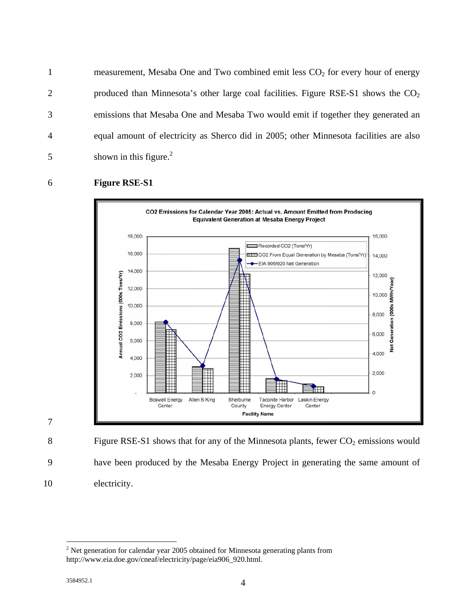1 measurement, Mesaba One and Two combined emit less  $CO<sub>2</sub>$  for every hour of energy 2 produced than Minnesota's other large coal facilities. Figure RSE-S1 shows the  $CO<sub>2</sub>$ 3 emissions that Mesaba One and Mesaba Two would emit if together they generated an 4 equal amount of electricity as Sherco did in 2005; other Minnesota facilities are also  $5$  shown in this figure.<sup>2</sup>

#### 6 **Figure RSE-S1**



7

8 Figure RSE-S1 shows that for any of the Minnesota plants, fewer  $CO<sub>2</sub>$  emissions would 9 have been produced by the Mesaba Energy Project in generating the same amount of 10 electricity.

 $\overline{a}$ 

 $2$  Net generation for calendar year 2005 obtained for Minnesota generating plants from http://www.eia.doe.gov/cneaf/electricity/page/eia906\_920.html.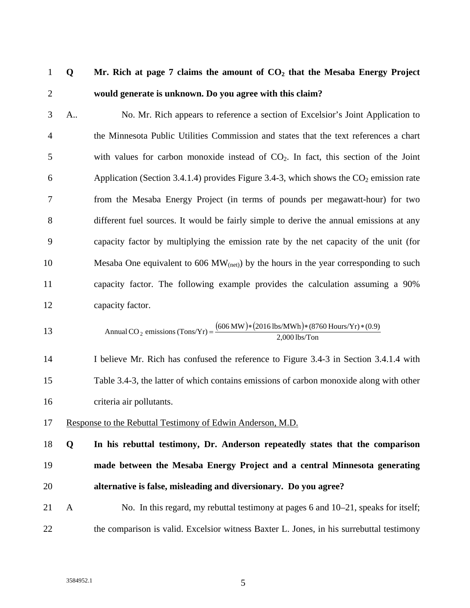## 1 **Q Mr. Rich at page 7 claims the amount of CO2 that the Mesaba Energy Project**  2 **would generate is unknown. Do you agree with this claim?**

3 A.. No. Mr. Rich appears to reference a section of Excelsior's Joint Application to 4 the Minnesota Public Utilities Commission and states that the text references a chart  $5$  with values for carbon monoxide instead of  $CO<sub>2</sub>$ . In fact, this section of the Joint 6 Application (Section 3.4.1.4) provides Figure 3.4-3, which shows the  $CO<sub>2</sub>$  emission rate 7 from the Mesaba Energy Project (in terms of pounds per megawatt-hour) for two 8 different fuel sources. It would be fairly simple to derive the annual emissions at any 9 capacity factor by multiplying the emission rate by the net capacity of the unit (for 10 Mesaba One equivalent to  $606 \text{ MW}_{\text{(net)}}$  by the hours in the year corresponding to such 11 capacity factor. The following example provides the calculation assuming a 90% 12 capacity factor.

$$
13 \t\text{Annual CO}_2 \text{ emissions (Tons/Yr)} = \frac{(606 \text{ MW})*(2016 \text{ lbs/MWh})*(8760 \text{ Hours/Yr})*(0.9)}{2,000 \text{ lbs/Ton}}
$$

14 I believe Mr. Rich has confused the reference to Figure 3.4-3 in Section 3.4.1.4 with 15 Table 3.4-3, the latter of which contains emissions of carbon monoxide along with other 16 criteria air pollutants.

- 17 Response to the Rebuttal Testimony of Edwin Anderson, M.D.
- 18 **Q In his rebuttal testimony, Dr. Anderson repeatedly states that the comparison**  19 **made between the Mesaba Energy Project and a central Minnesota generating**  20 **alternative is false, misleading and diversionary. Do you agree?**
- 21 A No. In this regard, my rebuttal testimony at pages 6 and 10–21, speaks for itself; 22 the comparison is valid. Excelsior witness Baxter L. Jones, in his surrebuttal testimony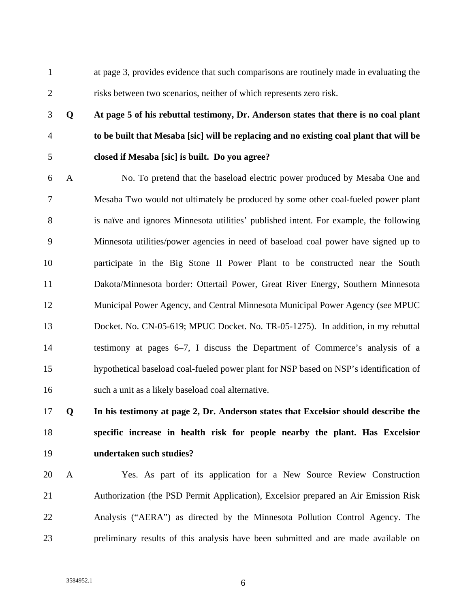1 at page 3, provides evidence that such comparisons are routinely made in evaluating the 2 risks between two scenarios, neither of which represents zero risk.

# 3 **Q At page 5 of his rebuttal testimony, Dr. Anderson states that there is no coal plant**  4 **to be built that Mesaba [sic] will be replacing and no existing coal plant that will be**  5 **closed if Mesaba [sic] is built. Do you agree?**

6 A No. To pretend that the baseload electric power produced by Mesaba One and 7 Mesaba Two would not ultimately be produced by some other coal-fueled power plant 8 is naïve and ignores Minnesota utilities' published intent. For example, the following 9 Minnesota utilities/power agencies in need of baseload coal power have signed up to 10 participate in the Big Stone II Power Plant to be constructed near the South 11 Dakota/Minnesota border: Ottertail Power, Great River Energy, Southern Minnesota 12 Municipal Power Agency, and Central Minnesota Municipal Power Agency (*see* MPUC 13 Docket. No. CN-05-619; MPUC Docket. No. TR-05-1275). In addition, in my rebuttal 14 testimony at pages 6–7, I discuss the Department of Commerce's analysis of a 15 hypothetical baseload coal-fueled power plant for NSP based on NSP's identification of 16 such a unit as a likely baseload coal alternative.

# 17 **Q In his testimony at page 2, Dr. Anderson states that Excelsior should describe the**  18 **specific increase in health risk for people nearby the plant. Has Excelsior**  19 **undertaken such studies?**

20 A Yes. As part of its application for a New Source Review Construction 21 Authorization (the PSD Permit Application), Excelsior prepared an Air Emission Risk 22 Analysis ("AERA") as directed by the Minnesota Pollution Control Agency. The 23 preliminary results of this analysis have been submitted and are made available on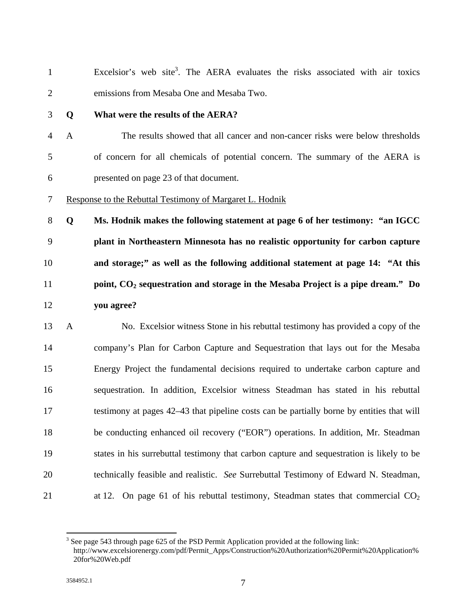| $\mathbf{1}$   |              | Excelsior's web site <sup>3</sup> . The AERA evaluates the risks associated with air toxics |
|----------------|--------------|---------------------------------------------------------------------------------------------|
| $\mathbf{2}$   |              | emissions from Mesaba One and Mesaba Two.                                                   |
| 3              | Q            | What were the results of the AERA?                                                          |
| $\overline{4}$ | $\mathbf{A}$ | The results showed that all cancer and non-cancer risks were below thresholds               |
| 5              |              | of concern for all chemicals of potential concern. The summary of the AERA is               |
| 6              |              | presented on page 23 of that document.                                                      |
| 7              |              | Response to the Rebuttal Testimony of Margaret L. Hodnik                                    |
| $8\,$          | Q            | Ms. Hodnik makes the following statement at page 6 of her testimony: "an IGCC               |
| 9              |              | plant in Northeastern Minnesota has no realistic opportunity for carbon capture             |
| 10             |              | and storage;" as well as the following additional statement at page 14: "At this            |
| 11             |              | point, $CO2$ sequestration and storage in the Mesaba Project is a pipe dream." Do           |
| 12             |              | you agree?                                                                                  |
| 13             | $\mathbf{A}$ | No. Excelsior witness Stone in his rebuttal testimony has provided a copy of the            |
| 14             |              | company's Plan for Carbon Capture and Sequestration that lays out for the Mesaba            |
| 15             |              | Energy Project the fundamental decisions required to undertake carbon capture and           |
| 16             |              | sequestration. In addition, Excelsior witness Steadman has stated in his rebuttal           |
| 17             |              | testimony at pages 42–43 that pipeline costs can be partially borne by entities that will   |

18 be conducting enhanced oil recovery ("EOR") operations. In addition, Mr. Steadman 19 states in his surrebuttal testimony that carbon capture and sequestration is likely to be

- 20 technically feasible and realistic. *See* Surrebuttal Testimony of Edward N. Steadman,
- 21 at 12. On page 61 of his rebuttal testimony, Steadman states that commercial CO<sub>2</sub>

<sup>&</sup>lt;sup>3</sup> See page 543 through page 625 of the PSD Permit Application provided at the following link: http://www.excelsiorenergy.com/pdf/Permit\_Apps/Construction%20Authorization%20Permit%20Application% 20for%20Web.pdf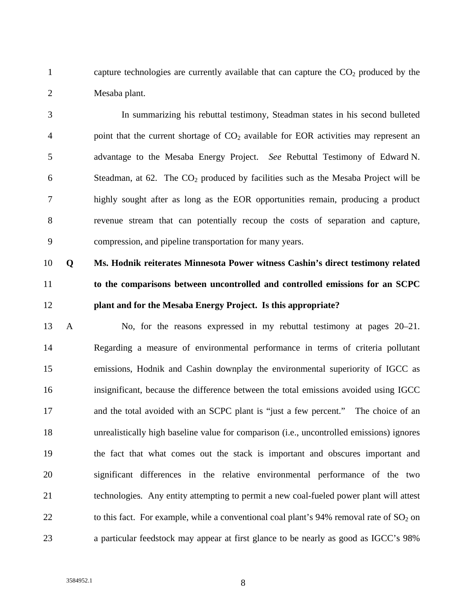1 capture technologies are currently available that can capture the  $CO<sub>2</sub>$  produced by the 2 Mesaba plant.

3 In summarizing his rebuttal testimony, Steadman states in his second bulleted 4 point that the current shortage of  $CO<sub>2</sub>$  available for EOR activities may represent an 5 advantage to the Mesaba Energy Project. *See* Rebuttal Testimony of Edward N. 6 Steadman, at  $62$ . The  $CO<sub>2</sub>$  produced by facilities such as the Mesaba Project will be 7 highly sought after as long as the EOR opportunities remain, producing a product 8 revenue stream that can potentially recoup the costs of separation and capture, 9 compression, and pipeline transportation for many years.

# 10 **Q Ms. Hodnik reiterates Minnesota Power witness Cashin's direct testimony related**  11 **to the comparisons between uncontrolled and controlled emissions for an SCPC**  12 **plant and for the Mesaba Energy Project. Is this appropriate?**

13 A No, for the reasons expressed in my rebuttal testimony at pages 20–21. 14 Regarding a measure of environmental performance in terms of criteria pollutant 15 emissions, Hodnik and Cashin downplay the environmental superiority of IGCC as 16 insignificant, because the difference between the total emissions avoided using IGCC 17 and the total avoided with an SCPC plant is "just a few percent." The choice of an 18 unrealistically high baseline value for comparison (i.e., uncontrolled emissions) ignores 19 the fact that what comes out the stack is important and obscures important and 20 significant differences in the relative environmental performance of the two 21 technologies. Any entity attempting to permit a new coal-fueled power plant will attest 22 to this fact. For example, while a conventional coal plant's  $94\%$  removal rate of  $SO_2$  on 23 a particular feedstock may appear at first glance to be nearly as good as IGCC's 98%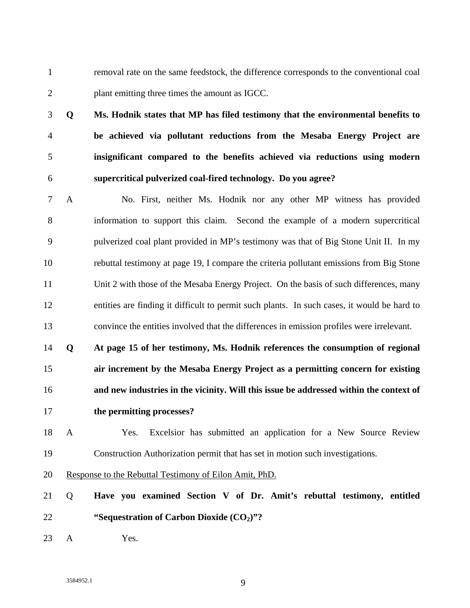1 removal rate on the same feedstock, the difference corresponds to the conventional coal 2 plant emitting three times the amount as IGCC.

- 3 **Q Ms. Hodnik states that MP has filed testimony that the environmental benefits to**  4 **be achieved via pollutant reductions from the Mesaba Energy Project are**  5 **insignificant compared to the benefits achieved via reductions using modern**  6 **supercritical pulverized coal-fired technology. Do you agree?**
- 7 A No. First, neither Ms. Hodnik nor any other MP witness has provided 8 information to support this claim. Second the example of a modern supercritical 9 pulverized coal plant provided in MP's testimony was that of Big Stone Unit II. In my 10 rebuttal testimony at page 19, I compare the criteria pollutant emissions from Big Stone 11 Unit 2 with those of the Mesaba Energy Project. On the basis of such differences, many 12 entities are finding it difficult to permit such plants. In such cases, it would be hard to 13 convince the entities involved that the differences in emission profiles were irrelevant.
- 14 **Q At page 15 of her testimony, Ms. Hodnik references the consumption of regional**  15 **air increment by the Mesaba Energy Project as a permitting concern for existing**  16 **and new industries in the vicinity. Will this issue be addressed within the context of**  17 **the permitting processes?**
- 18 A Yes. Excelsior has submitted an application for a New Source Review 19 Construction Authorization permit that has set in motion such investigations.
- 20 Response to the Rebuttal Testimony of Eilon Amit, PhD.
- 21 Q **Have you examined Section V of Dr. Amit's rebuttal testimony, entitled**  22 **"Sequestration of Carbon Dioxide (CO2)"?**
- 23 A Yes.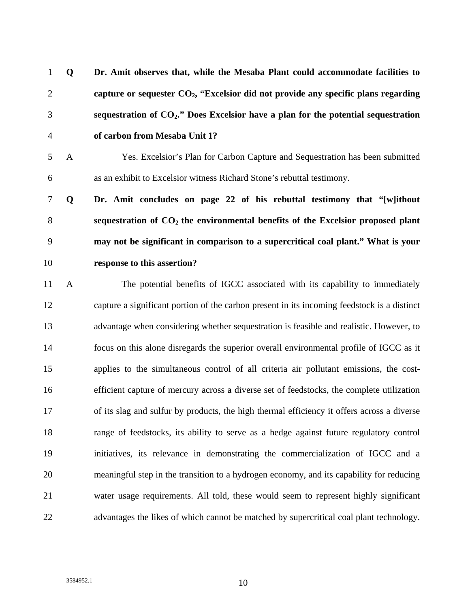| $\mathbf{1}$   | Q            | Dr. Amit observes that, while the Mesaba Plant could accommodate facilities to              |
|----------------|--------------|---------------------------------------------------------------------------------------------|
| $\overline{2}$ |              | capture or sequester $CO2$ , "Excelsior did not provide any specific plans regarding        |
| 3              |              | sequestration of $CO2$ ." Does Excelsior have a plan for the potential sequestration        |
| $\overline{4}$ |              | of carbon from Mesaba Unit 1?                                                               |
| 5              | $\mathbf{A}$ | Yes. Excelsior's Plan for Carbon Capture and Sequestration has been submitted               |
| 6              |              | as an exhibit to Excelsior witness Richard Stone's rebuttal testimony.                      |
| $\tau$         | Q            | Dr. Amit concludes on page 22 of his rebuttal testimony that "[w]ithout                     |
| $8\,$          |              | sequestration of $CO2$ the environmental benefits of the Excelsior proposed plant           |
| 9              |              | may not be significant in comparison to a supercritical coal plant." What is your           |
| 10             |              | response to this assertion?                                                                 |
| 11             | $\mathbf{A}$ | The potential benefits of IGCC associated with its capability to immediately                |
| 12             |              | capture a significant portion of the carbon present in its incoming feedstock is a distinct |
| 13             |              | advantage when considering whether sequestration is feasible and realistic. However, to     |
| 14             |              | focus on this alone disregards the superior overall environmental profile of IGCC as it     |
| 15             |              | applies to the simultaneous control of all criteria air pollutant emissions, the cost-      |
| 16             |              | efficient capture of mercury across a diverse set of feedstocks, the complete utilization   |
| 17             |              | of its slag and sulfur by products, the high thermal efficiency it offers across a diverse  |
| 18             |              | range of feedstocks, its ability to serve as a hedge against future regulatory control      |
| 19             |              | initiatives, its relevance in demonstrating the commercialization of IGCC and a             |
| 20             |              | meaningful step in the transition to a hydrogen economy, and its capability for reducing    |
| 21             |              | water usage requirements. All told, these would seem to represent highly significant        |
| 22             |              | advantages the likes of which cannot be matched by supercritical coal plant technology.     |